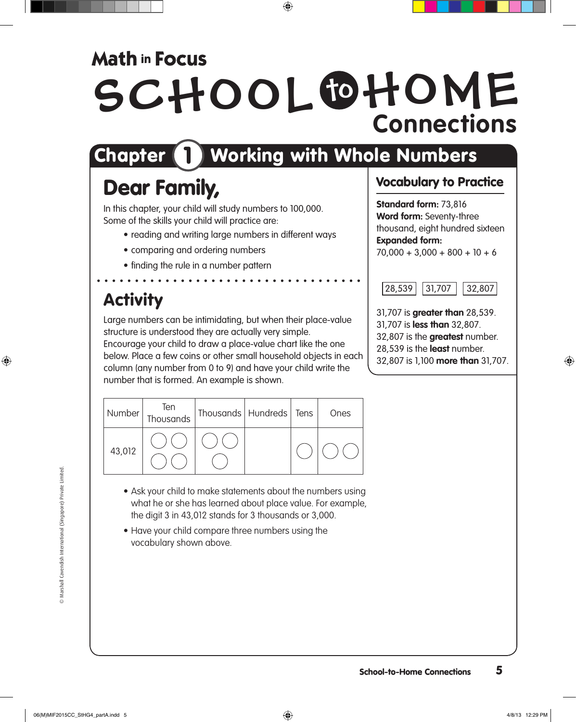### **Math in Focus**

# SCHOOL OHOME **Connections**

## Chapter **1** Working with Whole Numbers

## Dear Family,

In this chapter, your child will study numbers to 100,000. Some of the skills your child will practice are:

- reading and writing large numbers in different ways
- comparing and ordering numbers
- finding the rule in a number pattern

### **Activity**

Large numbers can be intimidating, but when their place-value structure is understood they are actually very simple. Encourage your child to draw a place-value chart like the one below. Place a few coins or other small household objects in each column (any number from 0 to 9) and have your child write the number that is formed. An example is shown.

| Number | Ten<br>Thousands | Thousands   Hundreds   Tens |  | Ones |
|--------|------------------|-----------------------------|--|------|
| 43,012 |                  |                             |  |      |

- Ask your child to make statements about the numbers using what he or she has learned about place value. For example, the digit 3 in 43,012 stands for 3 thousands or 3,000.
- Have your child compare three numbers using the vocabulary shown above.

#### Vocabulary to Practice

**Standard form:** 73,816 **Word form:** Seventy-three thousand, eight hundred sixteen **Expanded form:**  $70,000 + 3,000 + 800 + 10 + 6$ 



31,707 is **greater than** 28,539. 31,707 is **less than** 32,807. 32,807 is the **greatest** number. 28,539 is the **least** number. 32,807 is 1,100 **more than** 31,707.